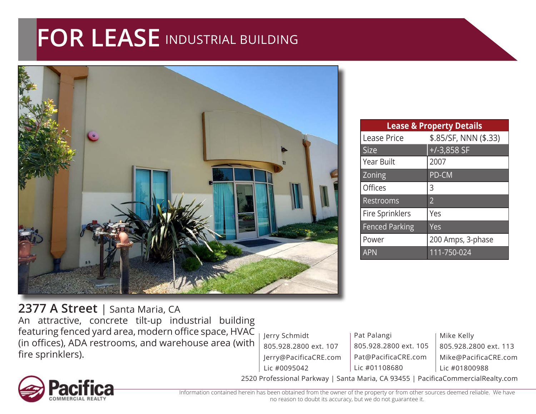## **FOR LEASE** INDUSTRIAL BUILDING



| <b>Lease &amp; Property Details</b> |                       |
|-------------------------------------|-----------------------|
| <b>Lease Price</b>                  | \$.85/SF, NNN (\$.33) |
| <b>Size</b>                         | $+/-3,858$ SF         |
| <b>Year Built</b>                   | 2007                  |
| Zoning                              | PD-CM                 |
| Offices                             | 3                     |
| Restrooms                           | $\overline{2}$        |
| <b>Fire Sprinklers</b>              | Yes                   |
| <b>Fenced Parking</b>               | Yes                   |
| Power                               | 200 Amps, 3-phase     |
| <b>APN</b>                          | 111-750-024           |

## **2377 A Street** | Santa Maria, CA

An attractive, concrete tilt-up industrial building featuring fenced yard area, modern office space, HVAC (in offices), ADA restrooms, and warehouse area (with fire sprinklers).

Jerry Schmidt 805.928.2800 ext. 107 Jerry@PacificaCRE.com Lic #0095042

Pat Palangi 805.928.2800 ext. 105 Pat@PacificaCRE.com Lic #01108680

Mike Kelly 805.928.2800 ext. 113 Mike@PacificaCRE.com Lic #01800988



2520 Professional Parkway | Santa Maria, CA 93455 | PacificaCommercialRealty.com